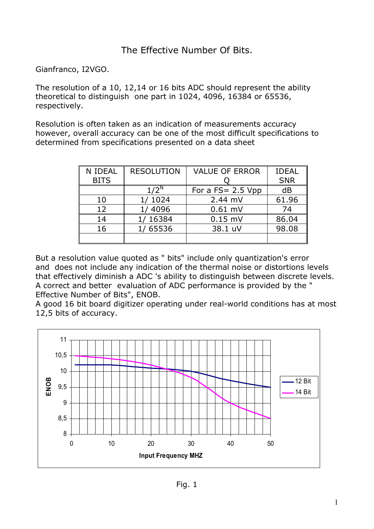## The Effective Number Of Bits.

Gianfranco, I2VGO.

The resolution of a 10, 12,14 or 16 bits ADC should represent the ability theoretical to distinguish one part in 1024, 4096, 16384 or 65536, respectively.

Resolution is often taken as an indication of measurements accuracy however, overall accuracy can be one of the most difficult specifications to determined from specifications presented on a data sheet

| <b>N IDEAL</b> | <b>RESOLUTION</b> | <b>VALUE OF ERROR</b> | <b>IDEAL</b> |
|----------------|-------------------|-----------------------|--------------|
| <b>BITS</b>    |                   |                       | <b>SNR</b>   |
|                | $1/2^N$           | For a $FS = 2.5$ Vpp  | dB           |
| 10             | 1/1024            | $2.44$ mV             | 61.96        |
| 12             | 1/4096            | $0.61$ mV             | 74           |
| 14             | 16384             | $0.15$ mV             | 86.04        |
| 16             | 1/65536           | 38.1 uV               | 98.08        |
|                |                   |                       |              |

But a resolution value quoted as " bits" include only quantization's error and does not include any indication of the thermal noise or distortions levels that effectively diminish a ADC 's ability to distinguish between discrete levels. A correct and better evaluation of ADC performance is provided by the " Effective Number of Bits", ENOB.

A good 16 bit board digitizer operating under real-world conditions has at most 12,5 bits of accuracy.